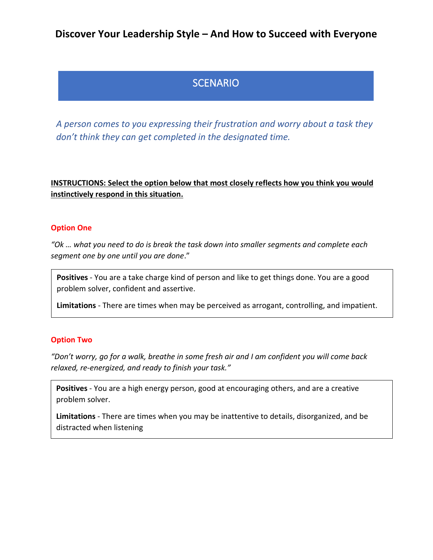## **Discover Your Leadership Style – And How to Succeed with Everyone**

# **SCENARIO**

*A person comes to you expressing their frustration and worry about a task they don't think they can get completed in the designated time.*

## **INSTRUCTIONS: Select the option below that most closely reflects how you think you would instinctively respond in this situation.**

#### **Option One**

*"Ok … what you need to do is break the task down into smaller segments and complete each segment one by one until you are done*."

**Positives** - You are a take charge kind of person and like to get things done. You are a good problem solver, confident and assertive.

**Limitations** - There are times when may be perceived as arrogant, controlling, and impatient.

#### **Option Two**

*"Don't worry, go for a walk, breathe in some fresh air and I am confident you will come back relaxed, re-energized, and ready to finish your task."*

**Positives** - You are a high energy person, good at encouraging others, and are a creative problem solver.

**Limitations** - There are times when you may be inattentive to details, disorganized, and be distracted when listening